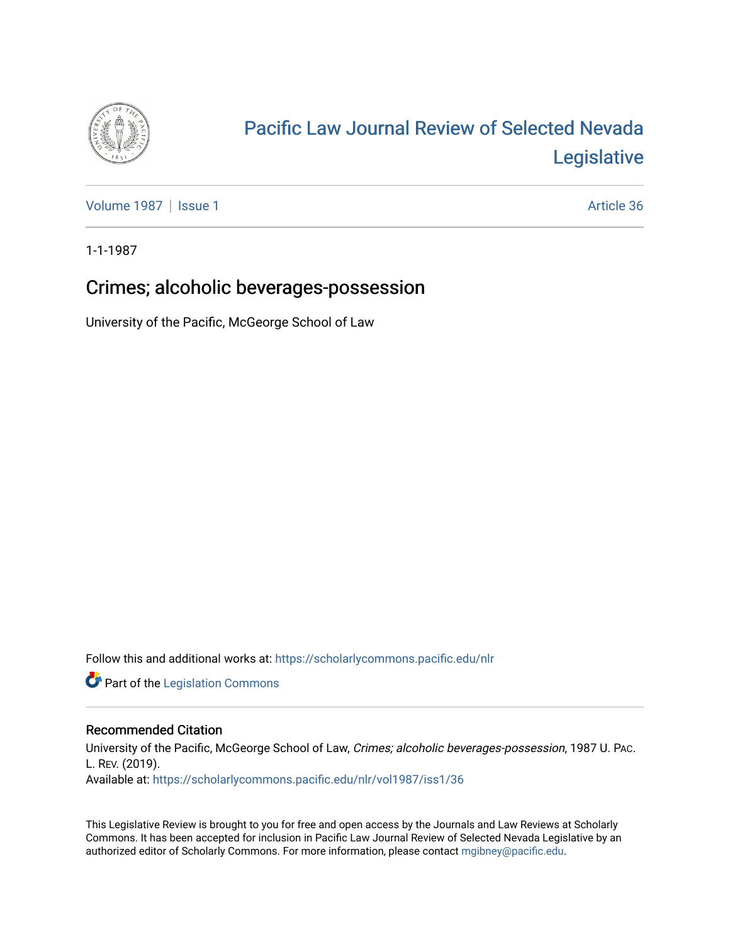

# [Pacific Law Journal Review of Selected Nevada](https://scholarlycommons.pacific.edu/nlr)  [Legislative](https://scholarlycommons.pacific.edu/nlr)

[Volume 1987](https://scholarlycommons.pacific.edu/nlr/vol1987) | [Issue 1](https://scholarlycommons.pacific.edu/nlr/vol1987/iss1) Article 36

1-1-1987

## Crimes; alcoholic beverages-possession

University of the Pacific, McGeorge School of Law

Follow this and additional works at: [https://scholarlycommons.pacific.edu/nlr](https://scholarlycommons.pacific.edu/nlr?utm_source=scholarlycommons.pacific.edu%2Fnlr%2Fvol1987%2Fiss1%2F36&utm_medium=PDF&utm_campaign=PDFCoverPages) 

**Part of the [Legislation Commons](http://network.bepress.com/hgg/discipline/859?utm_source=scholarlycommons.pacific.edu%2Fnlr%2Fvol1987%2Fiss1%2F36&utm_medium=PDF&utm_campaign=PDFCoverPages)** 

### Recommended Citation

University of the Pacific, McGeorge School of Law, Crimes; alcoholic beverages-possession, 1987 U. PAC. L. REV. (2019). Available at: [https://scholarlycommons.pacific.edu/nlr/vol1987/iss1/36](https://scholarlycommons.pacific.edu/nlr/vol1987/iss1/36?utm_source=scholarlycommons.pacific.edu%2Fnlr%2Fvol1987%2Fiss1%2F36&utm_medium=PDF&utm_campaign=PDFCoverPages)

This Legislative Review is brought to you for free and open access by the Journals and Law Reviews at Scholarly Commons. It has been accepted for inclusion in Pacific Law Journal Review of Selected Nevada Legislative by an authorized editor of Scholarly Commons. For more information, please contact [mgibney@pacific.edu](mailto:mgibney@pacific.edu).